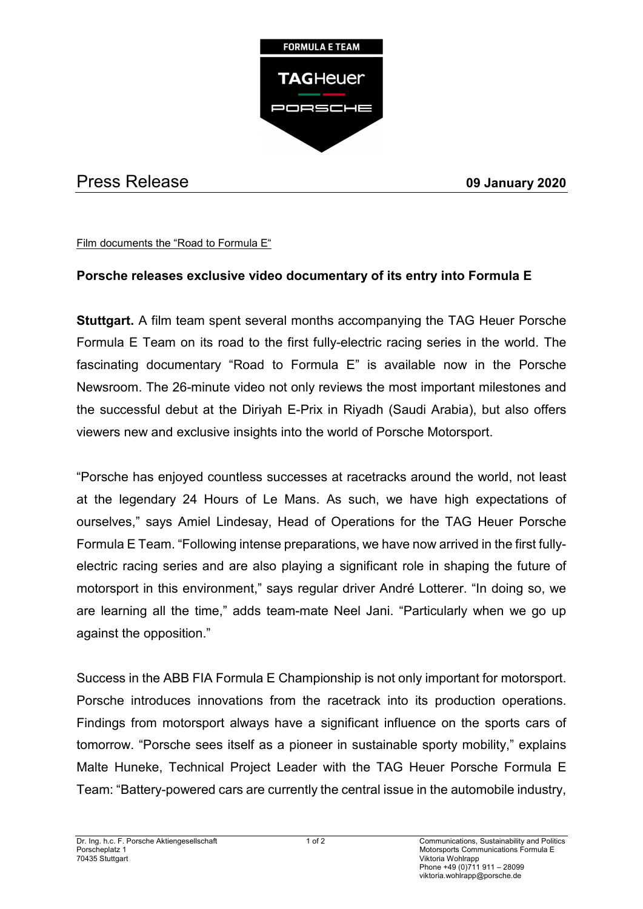

## Press Release **09 January 2020**

Film documents the "Road to Formula E"

## **Porsche releases exclusive video documentary of its entry into Formula E**

**Stuttgart.** A film team spent several months accompanying the TAG Heuer Porsche Formula E Team on its road to the first fully-electric racing series in the world. The fascinating documentary "Road to Formula E" is available now in the Porsche Newsroom. The 26-minute video not only reviews the most important milestones and the successful debut at the Diriyah E-Prix in Riyadh (Saudi Arabia), but also offers viewers new and exclusive insights into the world of Porsche Motorsport.

"Porsche has enjoyed countless successes at racetracks around the world, not least at the legendary 24 Hours of Le Mans. As such, we have high expectations of ourselves," says Amiel Lindesay, Head of Operations for the TAG Heuer Porsche Formula E Team. "Following intense preparations, we have now arrived in the first fullyelectric racing series and are also playing a significant role in shaping the future of motorsport in this environment," says regular driver André Lotterer. "In doing so, we are learning all the time," adds team-mate Neel Jani. "Particularly when we go up against the opposition."

Success in the ABB FIA Formula E Championship is not only important for motorsport. Porsche introduces innovations from the racetrack into its production operations. Findings from motorsport always have a significant influence on the sports cars of tomorrow. "Porsche sees itself as a pioneer in sustainable sporty mobility," explains Malte Huneke, Technical Project Leader with the TAG Heuer Porsche Formula E Team: "Battery-powered cars are currently the central issue in the automobile industry,